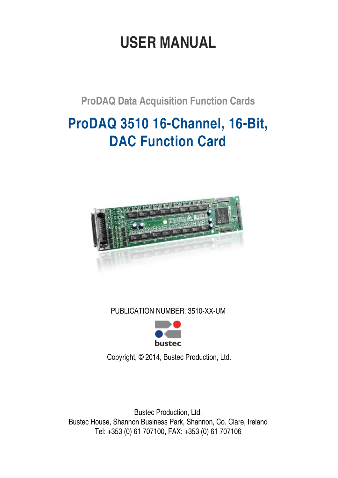# **USER MANUAL**

**ProDAQ Data Acquisition Function Cards**

# **ProDAQ 3510 16-Channel, 16-Bit, DAC Function Card**



PUBLICATION NUMBER: 3510-XX-UM



Copyright, © 2014, Bustec Production, Ltd.

Bustec Production, Ltd. Bustec House, Shannon Business Park, Shannon, Co. Clare, Ireland Tel: +353 (0) 61 707100, FAX: +353 (0) 61 707106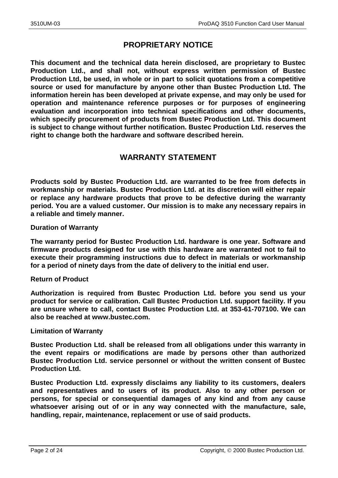# **PROPRIETARY NOTICE**

**This document and the technical data herein disclosed, are proprietary to Bustec Production Ltd., and shall not, without express written permission of Bustec Production Ltd, be used, in whole or in part to solicit quotations from a competitive source or used for manufacture by anyone other than Bustec Production Ltd. The information herein has been developed at private expense, and may only be used for operation and maintenance reference purposes or for purposes of engineering evaluation and incorporation into technical specifications and other documents, which specify procurement of products from Bustec Production Ltd. This document is subject to change without further notification. Bustec Production Ltd. reserves the right to change both the hardware and software described herein.** 

## **WARRANTY STATEMENT**

**Products sold by Bustec Production Ltd. are warranted to be free from defects in workmanship or materials. Bustec Production Ltd. at its discretion will either repair or replace any hardware products that prove to be defective during the warranty period. You are a valued customer. Our mission is to make any necessary repairs in a reliable and timely manner.**

### **Duration of Warranty**

**The warranty period for Bustec Production Ltd. hardware is one year. Software and firmware products designed for use with this hardware are warranted not to fail to execute their programming instructions due to defect in materials or workmanship for a period of ninety days from the date of delivery to the initial end user.**

### **Return of Product**

**Authorization is required from Bustec Production Ltd. before you send us your product for service or calibration. Call Bustec Production Ltd. support facility. If you are unsure where to call, contact Bustec Production Ltd. at 353-61-707100. We can also be reached at www.bustec.com.**

### **Limitation of Warranty**

**Bustec Production Ltd. shall be released from all obligations under this warranty in the event repairs or modifications are made by persons other than authorized Bustec Production Ltd. service personnel or without the written consent of Bustec Production Ltd.** 

**Bustec Production Ltd. expressly disclaims any liability to its customers, dealers and representatives and to users of its product. Also to any other person or persons, for special or consequential damages of any kind and from any cause whatsoever arising out of or in any way connected with the manufacture, sale, handling, repair, maintenance, replacement or use of said products.**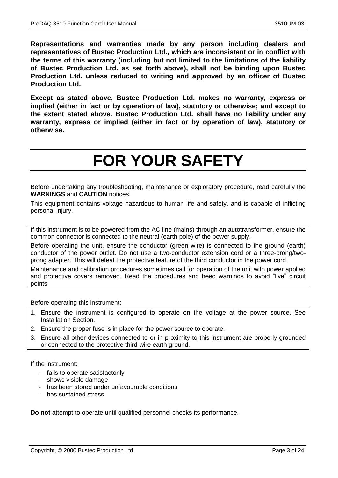**Representations and warranties made by any person including dealers and representatives of Bustec Production Ltd., which are inconsistent or in conflict with the terms of this warranty (including but not limited to the limitations of the liability of Bustec Production Ltd. as set forth above), shall not be binding upon Bustec Production Ltd. unless reduced to writing and approved by an officer of Bustec Production Ltd.**

**Except as stated above, Bustec Production Ltd. makes no warranty, express or implied (either in fact or by operation of law), statutory or otherwise; and except to the extent stated above. Bustec Production Ltd. shall have no liability under any warranty, express or implied (either in fact or by operation of law), statutory or otherwise.**

# **FOR YOUR SAFETY**

Before undertaking any troubleshooting, maintenance or exploratory procedure, read carefully the **WARNINGS** and **CAUTION** notices.

This equipment contains voltage hazardous to human life and safety, and is capable of inflicting personal injury.

If this instrument is to be powered from the AC line (mains) through an autotransformer, ensure the common connector is connected to the neutral (earth pole) of the power supply.

Before operating the unit, ensure the conductor (green wire) is connected to the ground (earth) conductor of the power outlet. Do not use a two-conductor extension cord or a three-prong/twoprong adapter. This will defeat the protective feature of the third conductor in the power cord.

Maintenance and calibration procedures sometimes call for operation of the unit with power applied and protective covers removed. Read the procedures and heed warnings to avoid "live" circuit points.

Before operating this instrument:

- 1. Ensure the instrument is configured to operate on the voltage at the power source. See Installation Section.
- 2. Ensure the proper fuse is in place for the power source to operate.
- 3. Ensure all other devices connected to or in proximity to this instrument are properly grounded or connected to the protective third-wire earth ground.

If the instrument:

- fails to operate satisfactorily
- shows visible damage
- has been stored under unfavourable conditions
- has sustained stress

**Do not** attempt to operate until qualified personnel checks its performance.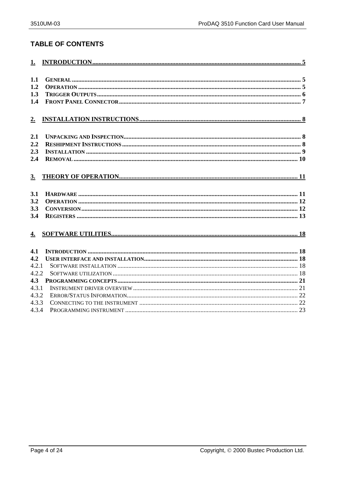## **TABLE OF CONTENTS**

| 1.1              |  |
|------------------|--|
| 1.2              |  |
| 1.3              |  |
| 1.4              |  |
|                  |  |
| 2.               |  |
|                  |  |
| 2.1              |  |
| 2.2              |  |
| 2.3              |  |
| 2.4              |  |
|                  |  |
| 3.               |  |
|                  |  |
| 3.1              |  |
| 3.2              |  |
| 3.3              |  |
| 3.4              |  |
|                  |  |
| $\overline{4}$ . |  |
|                  |  |
| 4.1              |  |
| 4.2              |  |
| 4.2.1            |  |
| 4.2.2            |  |
| 4.3              |  |
| 4.3.1            |  |
| 4.3.2            |  |
| 4.3.3            |  |
| 4.3.4            |  |
|                  |  |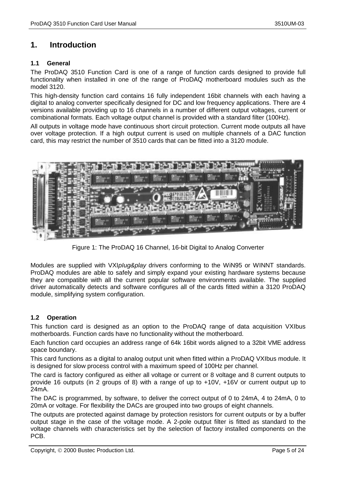## <span id="page-4-0"></span>**1. Introduction**

#### <span id="page-4-1"></span>**1.1 General**

The ProDAQ 3510 Function Card is one of a range of function cards designed to provide full functionality when installed in one of the range of ProDAQ motherboard modules such as the model 3120.

This high-density function card contains 16 fully independent 16bit channels with each having a digital to analog converter specifically designed for DC and low frequency applications. There are 4 versions available providing up to 16 channels in a number of different output voltages, current or combinational formats. Each voltage output channel is provided with a standard filter (100Hz).

All outputs in voltage mode have continuous short circuit protection. Current mode outputs all have over voltage protection. If a high output current is used on multiple channels of a DAC function card, this may restrict the number of 3510 cards that can be fitted into a 3120 module.



Figure 1: The ProDAQ 16 Channel, 16-bit Digital to Analog Converter

Modules are supplied with VXI*pIug&play* drivers conforming to the WiN95 or WINNT standards. ProDAQ modules are able to safely and simply expand your existing hardware systems because they are compatible with all the current popular software environments available. The supplied driver automatically detects and software configures all of the cards fitted within a 3120 ProDAQ module, simplifying system configuration.

### <span id="page-4-2"></span>**1.2 Operation**

This function card is designed as an option to the ProDAQ range of data acquisition VXIbus motherboards. Function cards have no functionality without the motherboard.

Each function card occupies an address range of 64k 16bit words aligned to a 32bit VME address space boundary.

This card functions as a digital to analog output unit when fitted within a ProDAQ VXIbus module. It is designed for slow process control with a maximum speed of 100Hz per channel.

The card is factory configured as either all voltage or current or 8 voltage and 8 current outputs to provide 16 outputs (in 2 groups of 8) with a range of up to +10V, +16V or current output up to 24mA.

The DAC is programmed, by software, to deliver the correct output of 0 to 24mA, 4 to 24mA, 0 to 20mA or voltage. For flexibility the DACs are grouped into two groups of eight channels.

The outputs are protected against damage by protection resistors for current outputs or by a buffer output stage in the case of the voltage mode. A 2-pole output filter is fitted as standard to the voltage channels with characteristics set by the selection of factory installed components on the PCB.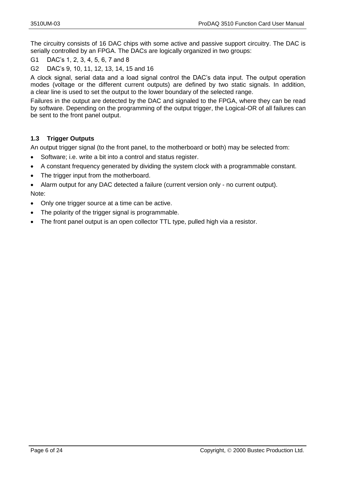The circuitry consists of 16 DAC chips with some active and passive support circuitry. The DAC is serially controlled by an FPGA. The DACs are logically organized in two groups:

G1 DAC's 1, 2, 3, 4, 5, 6, 7 and 8

G2 DAC's 9, 10, 11, 12, 13, 14, 15 and 16

A clock signal, serial data and a load signal control the DAC's data input. The output operation modes (voltage or the different current outputs) are defined by two static signals. In addition, a clear line is used to set the output to the lower boundary of the selected range.

Failures in the output are detected by the DAC and signaled to the FPGA, where they can be read by software. Depending on the programming of the output trigger, the Logical-OR of all failures can be sent to the front panel output.

### <span id="page-5-0"></span>**1.3 Trigger Outputs**

An output trigger signal (to the front panel, to the motherboard or both) may be selected from:

- Software; i.e. write a bit into a control and status register.
- A constant frequency generated by dividing the system clock with a programmable constant.
- The trigger input from the motherboard.
- Alarm output for any DAC detected a failure (current version only no current output). Note:
- Only one trigger source at a time can be active.
- The polarity of the trigger signal is programmable.
- The front panel output is an open collector TTL type, pulled high via a resistor.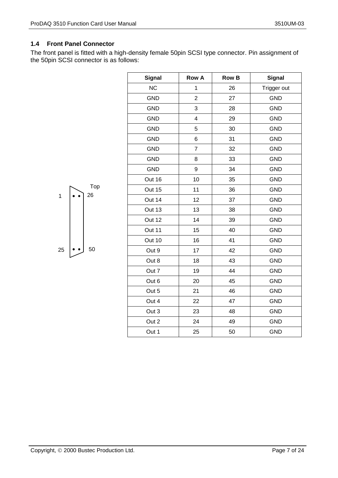### <span id="page-6-0"></span>**1.4 Front Panel Connector**

The front panel is fitted with a high-density female 50pin SCSI type connector. Pin assignment of the 50pin SCSI connector is as follows:

| <b>Signal</b> | <b>Row A</b>            | <b>Row B</b> | <b>Signal</b> |
|---------------|-------------------------|--------------|---------------|
| <b>NC</b>     | 1                       | 26           | Trigger out   |
| <b>GND</b>    | $\overline{2}$          | 27           | <b>GND</b>    |
| <b>GND</b>    | 3                       | 28           | <b>GND</b>    |
| <b>GND</b>    | $\overline{\mathbf{4}}$ | 29           | <b>GND</b>    |
| <b>GND</b>    | 5                       | 30           | <b>GND</b>    |
| <b>GND</b>    | 6                       | 31           | <b>GND</b>    |
| <b>GND</b>    | $\overline{7}$          | 32           | <b>GND</b>    |
| <b>GND</b>    | 8                       | 33           | <b>GND</b>    |
| <b>GND</b>    | 9                       | 34           | <b>GND</b>    |
| Out 16        | 10                      | 35           | <b>GND</b>    |
| Out 15        | 11                      | 36           | <b>GND</b>    |
| Out 14        | 12                      | 37           | <b>GND</b>    |
| Out 13        | 13                      | 38           | <b>GND</b>    |
| Out 12        | 14                      | 39           | <b>GND</b>    |
| Out 11        | 15                      | 40           | <b>GND</b>    |
| Out 10        | 16                      | 41           | <b>GND</b>    |
| Out 9         | 17                      | 42           | <b>GND</b>    |
| Out 8         | 18                      | 43           | <b>GND</b>    |
| Out 7         | 19                      | 44           | <b>GND</b>    |
| Out 6         | 20                      | 45           | <b>GND</b>    |
| Out 5         | 21                      | 46           | <b>GND</b>    |
| Out 4         | 22                      | 47           | <b>GND</b>    |
| Out 3         | 23                      | 48           | <b>GND</b>    |
| Out 2         | 24                      | 49           | <b>GND</b>    |
| Out 1         | 25                      | 50           | <b>GND</b>    |

 $1 \cdot \cdot \cdot 26$ Top

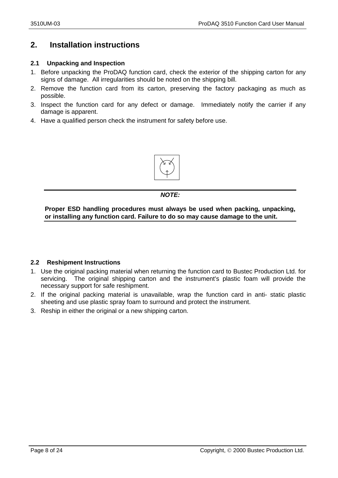# <span id="page-7-0"></span>**2. Installation instructions**

#### <span id="page-7-1"></span>**2.1 Unpacking and Inspection**

- 1. Before unpacking the ProDAQ function card, check the exterior of the shipping carton for any signs of damage. All irregularities should be noted on the shipping bill.
- 2. Remove the function card from its carton, preserving the factory packaging as much as possible.
- 3. Inspect the function card for any defect or damage. Immediately notify the carrier if any damage is apparent.
- 4. Have a qualified person check the instrument for safety before use.



#### *NOTE:*

**Proper ESD handling procedures must always be used when packing, unpacking, or installing any function card. Failure to do so may cause damage to the unit.**

#### <span id="page-7-2"></span>**2.2 Reshipment Instructions**

- 1. Use the original packing material when returning the function card to Bustec Production Ltd. for servicing. The original shipping carton and the instrument's plastic foam will provide the necessary support for safe reshipment.
- 2. If the original packing material is unavailable, wrap the function card in anti- static plastic sheeting and use plastic spray foam to surround and protect the instrument.
- 3. Reship in either the original or a new shipping carton.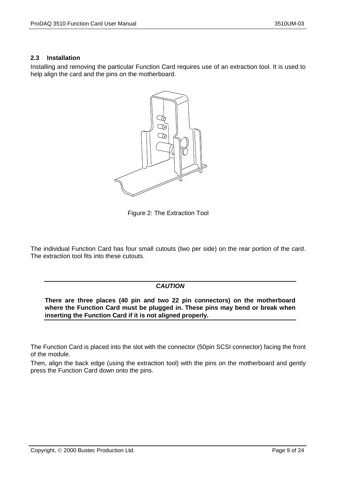#### <span id="page-8-0"></span>**2.3 Installation**

Installing and removing the particular Function Card requires use of an extraction tool. It is used to help align the card and the pins on the motherboard.



Figure 2: The Extraction Tool

The individual Function Card has four small cutouts (two per side) on the rear portion of the card. The extraction tool fits into these cutouts.

#### *CAUTION*

**There are three places (40 pin and two 22 pin connectors) on the motherboard where the Function Card must be plugged in. These pins may bend or break when inserting the Function Card if it is not aligned properly.**

The Function Card is placed into the slot with the connector (50pin SCSI connector) facing the front of the module.

Then, align the back edge (using the extraction tool) with the pins on the motherboard and gently press the Function Card down onto the pins.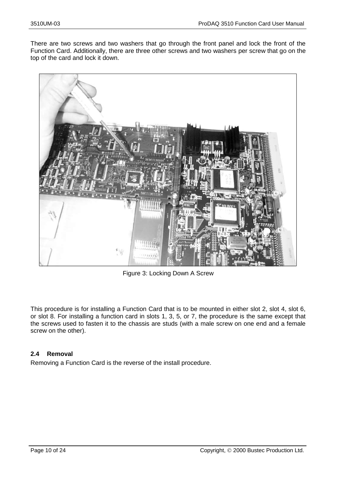There are two screws and two washers that go through the front panel and lock the front of the Function Card. Additionally, there are three other screws and two washers per screw that go on the top of the card and lock it down.



Figure 3: Locking Down A Screw

This procedure is for installing a Function Card that is to be mounted in either slot 2, slot 4, slot 6, or slot 8. For installing a function card in slots 1, 3, 5, or 7, the procedure is the same except that the screws used to fasten it to the chassis are studs (with a male screw on one end and a female screw on the other).

### <span id="page-9-0"></span>**2.4 Removal**

Removing a Function Card is the reverse of the install procedure.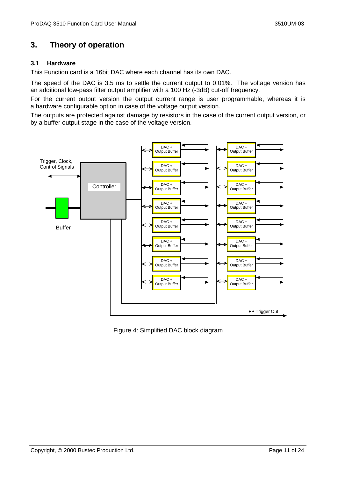# <span id="page-10-0"></span>**3. Theory of operation**

#### <span id="page-10-1"></span>**3.1 Hardware**

This Function card is a 16bit DAC where each channel has its own DAC.

The speed of the DAC is 3.5 ms to settle the current output to 0.01%. The voltage version has an additional low-pass filter output amplifier with a 100 Hz (-3dB) cut-off frequency.

For the current output version the output current range is user programmable, whereas it is a hardware configurable option in case of the voltage output version.

The outputs are protected against damage by resistors in the case of the current output version, or by a buffer output stage in the case of the voltage version.



Figure 4: Simplified DAC block diagram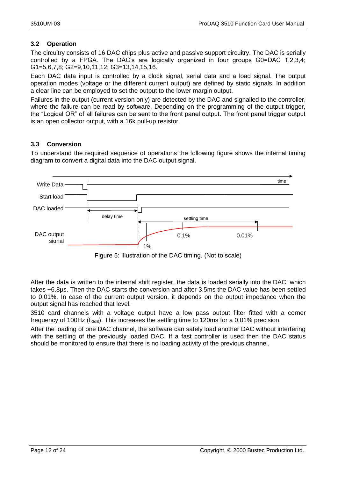### <span id="page-11-0"></span>**3.2 Operation**

The circuitry consists of 16 DAC chips plus active and passive support circuitry. The DAC is serially controlled by a FPGA. The DAC's are logically organized in four groups G0=DAC 1,2,3,4; G1=5,6,7,8; G2=9,10,11,12; G3=13,14,15,16.

Each DAC data input is controlled by a clock signal, serial data and a load signal. The output operation modes (voltage or the different current output) are defined by static signals. In addition a clear line can be employed to set the output to the lower margin output.

Failures in the output (current version only) are detected by the DAC and signalled to the controller, where the failure can be read by software. Depending on the programming of the output trigger, the "Logical OR" of all failures can be sent to the front panel output. The front panel trigger output is an open collector output, with a 16k pull-up resistor.

### <span id="page-11-1"></span>**3.3 Conversion**

To understand the required sequence of operations the following figure shows the internal timing diagram to convert a digital data into the DAC output signal.



Figure 5: Illustration of the DAC timing. (Not to scale)

After the data is written to the internal shift register, the data is loaded serially into the DAC, which takes ~6.8µs. Then the DAC starts the conversion and after 3.5ms the DAC value has been settled to 0.01%. In case of the current output version, it depends on the output impedance when the output signal has reached that level.

3510 card channels with a voltage output have a low pass output filter fitted with a corner frequency of 100Hz (f-3dB). This increases the settling time to 120ms for a 0.01% precision.

After the loading of one DAC channel, the software can safely load another DAC without interfering with the settling of the previously loaded DAC. If a fast controller is used then the DAC status should be monitored to ensure that there is no loading activity of the previous channel.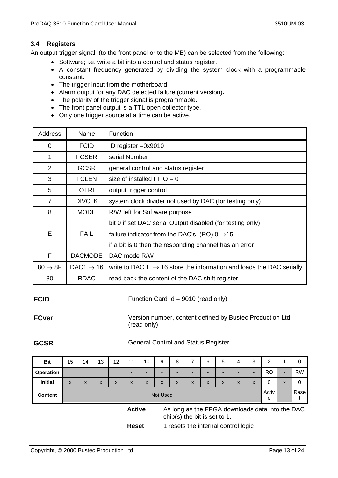#### <span id="page-12-0"></span>**3.4 Registers**

An output trigger signal (to the front panel or to the MB) can be selected from the following:

- Software; i.e. write a bit into a control and status register.
- A constant frequency generated by dividing the system clock with a programmable constant.
- The trigger input from the motherboard.
- Alarm output for any DAC detected failure (current version)**.**
- The polarity of the trigger signal is programmable.
- The front panel output is a TTL open collector type.
- Only one trigger source at a time can be active.

| <b>Address</b>      | Name                  | Function                                                                         |
|---------------------|-----------------------|----------------------------------------------------------------------------------|
| $\Omega$            | <b>FCID</b>           | ID register $=0x9010$                                                            |
| 1                   | <b>FCSER</b>          | serial Number                                                                    |
| 2                   | <b>GCSR</b>           | general control and status register                                              |
| 3                   | <b>FCLEN</b>          | size of installed $FIFO = 0$                                                     |
| 5                   | <b>OTRI</b>           | output trigger control                                                           |
| 7                   | <b>DIVCLK</b>         | system clock divider not used by DAC (for testing only)                          |
| 8                   | <b>MODE</b>           | R/W left for Software purpose                                                    |
|                     |                       | bit 0 if set DAC serial Output disabled (for testing only)                       |
| E                   | <b>FAIL</b>           | failure indicator from the DAC's (RO) $0 \rightarrow 15$                         |
|                     |                       | if a bit is 0 then the responding channel has an error                           |
| F                   | <b>DACMODE</b>        | DAC mode R/W                                                                     |
| $80 \rightarrow 8F$ | DAC1 $\rightarrow$ 16 | write to DAC 1 $\rightarrow$ 16 store the information and loads the DAC serially |
| 80                  | <b>RDAC</b>           | read back the content of the DAC shift register                                  |

#### **FCID** Function Card Id = 9010 (read only)

**FCver** Version number, content defined by Bustec Production Ltd. (read only).

#### **GCSR** General Control and Status Register

| <b>Bit</b>       | 15 | 14 | 13 | 12           | 11            | 10 | 9        | 8                                   |   | 6 | 5 | 4 | 3 | 2                                               |                          | 0         |
|------------------|----|----|----|--------------|---------------|----|----------|-------------------------------------|---|---|---|---|---|-------------------------------------------------|--------------------------|-----------|
| <b>Operation</b> | ۰  | -  |    |              |               |    |          |                                     | - | - | - |   | - | <b>RO</b>                                       | $\overline{\phantom{a}}$ | <b>RW</b> |
| <b>Initial</b>   | X  | X  | X  | $\mathsf{x}$ | X             | X  | X        | X                                   | X | X | X | X | X | 0                                               | X                        | 0         |
| <b>Content</b>   |    |    |    |              |               |    | Not Used |                                     |   |   |   |   |   | Activ<br>е                                      |                          | Rese      |
|                  |    |    |    |              | <b>Active</b> |    |          | chip(s) the bit is set to 1.        |   |   |   |   |   | As long as the FPGA downloads data into the DAC |                          |           |
|                  |    |    |    |              | <b>Reset</b>  |    |          | 1 resets the internal control logic |   |   |   |   |   |                                                 |                          |           |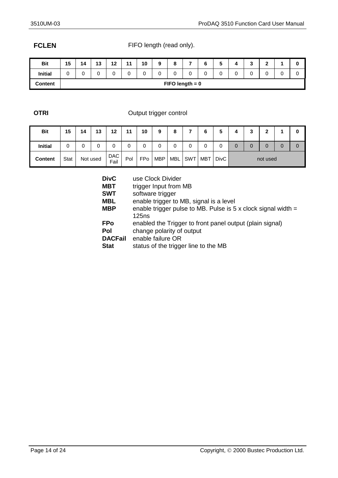**FCLEN** FIFO length (read only).

| <b>Bit</b>     | 15 | 14 | 12<br>IJ | 12<br>$\sim$ | 11<br>. . | 10 | 9 |                   | - | ∼ | v |   | $\sqrt{2}$<br>w | $\mathbf{r}$<br>- |   | u |
|----------------|----|----|----------|--------------|-----------|----|---|-------------------|---|---|---|---|-----------------|-------------------|---|---|
| <b>Initial</b> |    | U  | 0        | 0            |           |    | 0 |                   | U |   |   | ⌒ | 0               | $\sim$<br>U       | U | 0 |
| <b>Content</b> |    |    |          |              |           |    |   | $FIFO length = 0$ |   |   |   |   |                 |                   |   |   |

### **OTRI** Output trigger control

| <b>Bit</b>     | 15   | 14 | 13       | 12          | $-11$ | 10         | 9          | 8          | -   | 6   | 5           | 4 | 2 | ◠        |   |   |
|----------------|------|----|----------|-------------|-------|------------|------------|------------|-----|-----|-------------|---|---|----------|---|---|
| <b>Initial</b> | 0    | 0  | 0        |             | 0     |            |            | 0          | 0   | 0   |             | 0 | 0 | 0        | 0 | 0 |
| <b>Content</b> | Stat |    | Not used | DAC<br>Fail | Pol   | <b>FPo</b> | <b>MBP</b> | <b>MBL</b> | SWT | MBT | <b>DivC</b> |   |   | not used |   |   |

| <b>DivC</b>    | use Clock Divider                                                             |
|----------------|-------------------------------------------------------------------------------|
| <b>MBT</b>     | trigger Input from MB                                                         |
| <b>SWT</b>     | software trigger                                                              |
| MBL            | enable trigger to MB, signal is a level                                       |
| MBP            | enable trigger pulse to MB. Pulse is $5 \times$ clock signal width =<br>125ns |
| <b>FPo</b>     | enabled the Trigger to front panel output (plain signal)                      |
| Pol            | change polarity of output                                                     |
| <b>DACFail</b> | enable failure OR                                                             |
| <b>Stat</b>    | status of the trigger line to the MB                                          |
|                |                                                                               |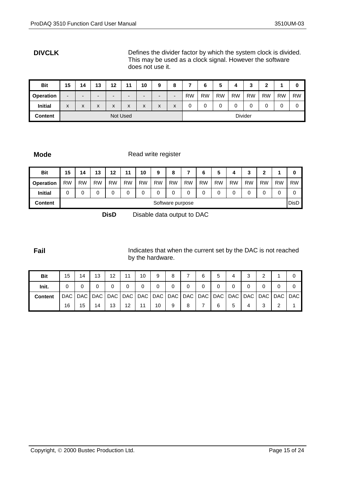**DIVCLK** Defines the divider factor by which the system clock is divided. This may be used as a clock signal. However the software does not use it.

| <b>Bit</b>       | 15 | 14                | 13                       | 12                        | 44       | 10                       | 9                        | 8                        | -         | 6         | 5         | 4         | っ<br>J         | າ         |           | υ         |
|------------------|----|-------------------|--------------------------|---------------------------|----------|--------------------------|--------------------------|--------------------------|-----------|-----------|-----------|-----------|----------------|-----------|-----------|-----------|
| <b>Operation</b> | -  | $\blacksquare$    | $\overline{\phantom{0}}$ | $\overline{\phantom{0}}$  | -        | $\overline{\phantom{0}}$ | $\overline{\phantom{0}}$ | $\overline{\phantom{0}}$ | <b>RW</b> | <b>RW</b> | <b>RW</b> | <b>RW</b> | <b>RW</b>      | <b>RW</b> | <b>RW</b> | <b>RW</b> |
| <b>Initial</b>   | X  | $\checkmark$<br>ᄉ | X                        | $\mathbf{v}$<br>$\lambda$ | X        | X                        | X                        | X                        | 0         | 0         |           | ∩<br>U    | 0              | 0         | 0         | 0         |
| <b>Content</b>   |    |                   |                          |                           | Not Used |                          |                          |                          |           |           |           |           | <b>Divider</b> |           |           |           |

**Mode** Read write register

| <b>Bit</b>       | 15        | 14        | 13        | 12        | 44        | 10        | 9                | 8         | –         | 6         | 5         | 4         | 3         | 2         |           | 0           |
|------------------|-----------|-----------|-----------|-----------|-----------|-----------|------------------|-----------|-----------|-----------|-----------|-----------|-----------|-----------|-----------|-------------|
| <b>Operation</b> | <b>RW</b> | <b>RW</b> | <b>RW</b> | <b>RW</b> | <b>RW</b> | <b>RW</b> | <b>RW</b>        | <b>RW</b> | <b>RW</b> | <b>RW</b> | <b>RW</b> | <b>RW</b> | <b>RW</b> | <b>RW</b> | <b>RW</b> | <b>RW</b>   |
| <b>Initial</b>   | 0         | 0         |           |           |           |           |                  | 0         | 0         |           |           | 0         | 0         |           | 0         |             |
| Content          |           |           |           |           |           |           | Software purpose |           |           |           |           |           |           |           |           | <b>DisD</b> |

**DisD** Disable data output to DAC

**Fail Fail** Indicates that when the current set by the DAC is not reached by the hardware.

| <b>Bit</b>     | 15 | 14 | 13 | 12 | 11                | 10 | 9  | 8           |   | 6 | 5        | 4 | ີ<br>ت                                                                                              | ົ |   |  |
|----------------|----|----|----|----|-------------------|----|----|-------------|---|---|----------|---|-----------------------------------------------------------------------------------------------------|---|---|--|
| Init.          |    | 0  |    |    | 0                 | 0  | 0  | $\mathbf 0$ | 0 |   | $\Omega$ | 0 | 0                                                                                                   |   |   |  |
| <b>Content</b> |    |    |    |    |                   |    |    |             |   |   |          |   | DAC   DAC   DAC   DAC   DAC   DAC   DAC   DAC   DAC   DAC   DAC   DAC   DAC   DAC   DAC   DAC   DAC |   |   |  |
|                | 16 | 15 | 14 | 13 | $12 \overline{ }$ | 11 | 10 | 9           | 8 |   | 6        | 5 | 4                                                                                                   | 3 | ⌒ |  |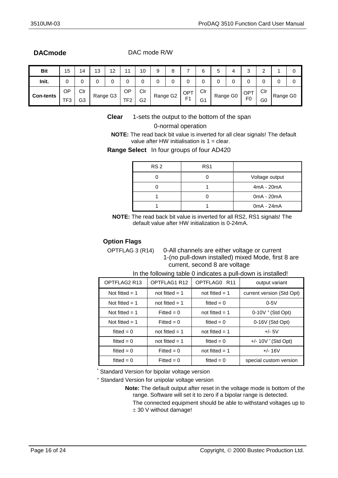**DACmode** DAC mode R/W

| <b>Bit</b>       | 15        | 14  | 13 | 12<br>. . |                 | 10             | a        | ၓ |                        | 6   | ັ | 4        | ົ<br>ບ          | ີ<br>▃ |          | υ |
|------------------|-----------|-----|----|-----------|-----------------|----------------|----------|---|------------------------|-----|---|----------|-----------------|--------|----------|---|
| Init.            | C         | U   | u  |           | ບ               |                | ັ        |   | ື                      |     |   | ⌒<br>ັ   | 0               | 0      |          | ◡ |
| <b>Con-tents</b> | <b>OP</b> | Clr |    | Range G3  | ОP              | Clr            | Range G2 |   | $\overline{OP}^{\tau}$ | Clr |   | Range G0 | OP <sup>T</sup> | Clr    | Range G0 |   |
|                  | TF3       | G3  |    |           | TF <sub>2</sub> | G <sub>2</sub> |          |   | E <sub>4</sub>         | G1  |   |          | F <sub>0</sub>  | G0     |          |   |

**Clear** 1-sets the output to the bottom of the span

#### 0-normal operation

**NOTE:** The read back bit value is inverted for all clear signals! The default value after HW initialisation is  $1 =$  clear.

**Range Select** In four groups of four AD420

| RS <sub>2</sub> | RS <sub>1</sub> |                |
|-----------------|-----------------|----------------|
|                 |                 | Voltage output |
|                 |                 | $4mA - 20mA$   |
|                 |                 | 0mA - 20mA     |
|                 |                 | $0mA - 24mA$   |

**NOTE:** The read back bit value is inverted for all RS2, RS1 signals! The default value after HW initialization is 0-24mA.

#### **Option Flags**

OPTFLAG 3 (R14) 0-All channels are either voltage or current 1-(no pull-down installed) mixed Mode, first 8 are current, second 8 are voltage

| OPTFLAG2 R13     | OPTFLAG1 R12     | OPTFLAG0 R11     | output variant            |  |
|------------------|------------------|------------------|---------------------------|--|
| Not fitted $= 1$ | not fitted $= 1$ | not fitted $= 1$ | current version (Std Opt) |  |
| Not fitted $= 1$ | not fitted $= 1$ | fitted $= 0$     | $0-5V$                    |  |
| Not fitted $= 1$ | Fitted = $0$     | not fitted $= 1$ | $0-10V + (Std Opt)$       |  |
| Not fitted $= 1$ | Fitted = $0$     | fitted $= 0$     | 0-16V (Std Opt)           |  |
| fitted = $0$     | not fitted $= 1$ | not fitted $= 1$ | $+/- 5V$                  |  |
| fitted $= 0$     | not fitted $= 1$ | fitted $= 0$     | $+/- 10V$ (Std Opt)       |  |
| fitted $= 0$     | Fitted = $0$     | not fitted $= 1$ | $+/- 16V$                 |  |
| fitted $= 0$     | Fitted = $0$     | fitted $= 0$     | special custom version    |  |

In the following table 0 indicates a pull-down is installed!

Standard Version for bipolar voltage version

<sup>+</sup> Standard Version for unipolar voltage version

**Note:** The default output after reset in the voltage mode is bottom of the range. Software will set it to zero if a bipolar range is detected.

The connected equipment should be able to withstand voltages up to  $±$  30 V without damage!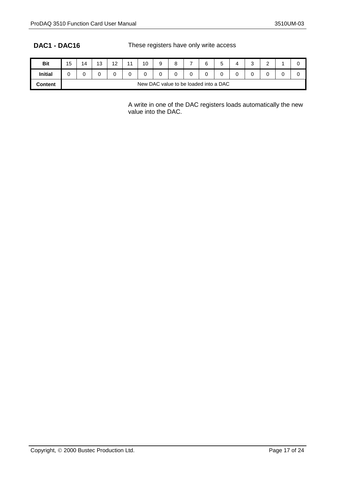**DAC1 - DAC16** These registers have only write access

| <b>Bit</b>     | 15                                    | 14 | $\Lambda$<br>ں ا | $\sqrt{2}$<br>$\sim$ | $\overline{A}$ | 10 | a<br>s |  | - | 6 | -<br>ັ | ⌒<br>ບ | $\sim$<br>- | ⊾. |
|----------------|---------------------------------------|----|------------------|----------------------|----------------|----|--------|--|---|---|--------|--------|-------------|----|
| <b>Initial</b> |                                       | U  |                  |                      |                |    |        |  |   |   |        | ິ      | ∼           |    |
| <b>Content</b> | New DAC value to be loaded into a DAC |    |                  |                      |                |    |        |  |   |   |        |        |             |    |

A write in one of the DAC registers loads automatically the new value into the DAC.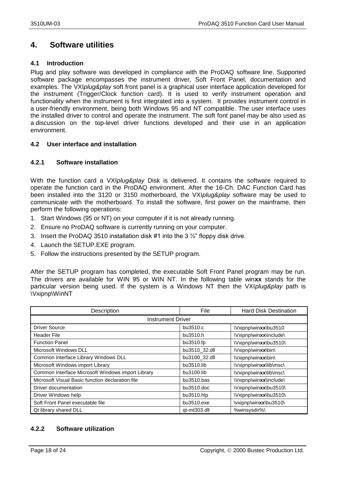# <span id="page-17-0"></span>**4. Software utilities**

#### <span id="page-17-1"></span>**4.1 Introduction**

Plug and play software was developed in compliance with the ProDAQ software line. Supported software package encompasses the instrument driver, Soft Front Panel, documentation and examples. The VXI*plug&play* soft front panel is a graphical user interface application developed for the instrument (Trigger/Clock function card). It is used to verify instrument operation and functionality when the instrument is first integrated into a system. It provides instrument control in a user-friendly environment, being both Windows 95 and NT compatible. The user interface uses the installed driver to control and operate the instrument. The soft font panel may be also used as a discussion on the top-level driver functions developed and their use in an application environment.

#### <span id="page-17-2"></span>**4.2 User interface and installation**

### <span id="page-17-3"></span>**4.2.1 Software installation**

With the function card a VXI*plug&play* Disk is delivered. It contains the software required to operate the function card in the ProDAQ environment. After the 16-Ch. DAC Function Card has been installed into the 3120 or 3150 motherboard, the VXI*plug&play* software may be used to communicate with the motherboard. To install the software, first power on the mainframe, then perform the following operations:

- 1. Start Windows (95 or NT) on your computer if it is not already running.
- 2. Ensure no ProDAQ software is currently running on your computer.
- 3. Insert the ProDAQ 3510 installation disk #1 into the 3  $\frac{1}{2}$ " floppy disk drive.
- 4. Launch the SETUP.EXE program.
- 5. Follow the instructions presented by the SETUP program.

After the SETUP program has completed, the executable Soft Front Panel program may be run. The drivers are available for WIN 95 or WIN NT. In the following table win**xx** stands for the particular version being used. If the system is a Windows NT then the VXI*plug&play* path is \Vxipnp\WinNT

| Description                                       | File          | <b>Hard Disk Destination</b> |  |  |  |  |  |
|---------------------------------------------------|---------------|------------------------------|--|--|--|--|--|
| <b>Instrument Driver</b>                          |               |                              |  |  |  |  |  |
| <b>Driver Source</b>                              | bu3510.c      | \Vxipnp\winxx\bu3510         |  |  |  |  |  |
| <b>Header File</b>                                | bu3510.h      | \Vxipnp\winxx\include\       |  |  |  |  |  |
| <b>Function Panel</b>                             | bu3510.fp     | \Vxipnp\winxx\bu3510\        |  |  |  |  |  |
| Microsoft Windows DLL                             | bu3510_32.dll | \Vxipnp\winxx\bin\           |  |  |  |  |  |
| Common Interface Library Windows DLL              | bu3100_32.dll | \Vxipnp\winxx\bin\           |  |  |  |  |  |
| Microsoft Windows import Library                  | bu3510.lib    | \Vxipnp\winxx\lib\msc\       |  |  |  |  |  |
| Common Interface Microsoft Windows import Library | bu3100.lib    | \Vxipnp\winxx\lib\msc\       |  |  |  |  |  |
| Microsoft Visual Basic function declaration file  | $bu3510$ .bas | \Vxipnp\winxx\include\       |  |  |  |  |  |
| Driver documentation                              | $bu3510$ .doc | \Vxipnp\winxx\bu3510\        |  |  |  |  |  |
| Driver Windows help                               | bu3510.hlp    | \Vxipnp\winxx\bu3510\        |  |  |  |  |  |
| Soft Front Panel executable file                  | bu3510.exe    | \vxipnp\winxx\bu3510\        |  |  |  |  |  |
| Qt library shared DLL                             | qt-mt303.dll  | %winsysdir%\                 |  |  |  |  |  |

### <span id="page-17-4"></span>**4.2.2 Software utilization**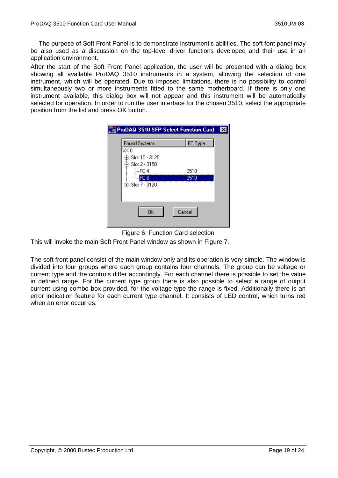The purpose of Soft Front Panel is to demonstrate instrument's abilities. The soft font panel may be also used as a discussion on the top-level driver functions developed and their use in an application environment.

After the start of the Soft Front Panel application, the user will be presented with a dialog box showing all available ProDAQ 3510 instruments in a system, allowing the selection of one instrument, which will be operated. Due to imposed limitations, there is no possibility to control simultaneously two or more instruments fitted to the same motherboard. If there is only one instrument available, this dialog box will not appear and this instrument will be automatically selected for operation. In order to run the user interface for the chosen 3510, select the appropriate position from the list and press OK button.

|                                                                                    | ProDAQ 3510 SFP Select Function Card |  |
|------------------------------------------------------------------------------------|--------------------------------------|--|
| Found Systems<br>v×l0<br>由- Slot 10 - 3120<br>다- Slot 2 - 3150<br>i—FC 4<br>$-FC6$ | FC Type<br>3510<br>3510              |  |
| 中 Slot 7 - 3120<br>OΚ                                                              | Cancel                               |  |



This will invoke the main Soft Front Panel window as shown in [Figure 7.](#page-19-0)

The soft front panel consist of the main window only and its operation is very simple. The window is divided into four groups where each group contains four channels. The group can be voltage or current type and the controls differ accordingly. For each channel there is possible to set the value in defined range. For the current type group there is also possible to select a range of output current using combo box provided, for the voltage type the range is fixed. Additionally there is an error indication feature for each current type channel. It consists of LED control, which turns red when an error occurres.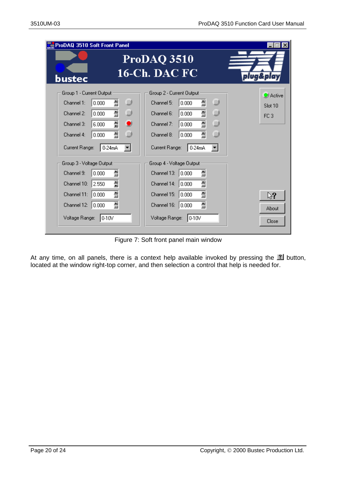| ProDAQ 3510 Soft Front Panel                                                                                                                                              |                                                                                                                                                                                                                                                          |                                               |
|---------------------------------------------------------------------------------------------------------------------------------------------------------------------------|----------------------------------------------------------------------------------------------------------------------------------------------------------------------------------------------------------------------------------------------------------|-----------------------------------------------|
| bustec                                                                                                                                                                    | ProDAQ 3510<br><b>16-Ch. DAC FC</b>                                                                                                                                                                                                                      | plug&play                                     |
| Group 1 - Current Output<br>칊<br>Channel 1:<br>0.000<br>흞<br>Channel 2:<br>0.000<br>픺<br>Channel 3:<br>6.000<br>흴<br>Channel 4:<br>0.000<br>Current Range:<br>0-24mA      | Group 2 - Current Output<br>O<br>O<br>릚<br>Channel 5:<br>0.000<br>$\circledcirc$<br>O<br>클<br>Channel 6:<br>0.000<br>$\circledcirc$<br>흞<br>$\bullet$<br>Channel 7:<br>0.000<br>O<br>O<br>흴<br>Channel 8:<br>0.000<br>Current Range:<br>0-24mA<br>▾<br>▾ | <b>O</b> Active<br>Slot 10<br>FC <sub>3</sub> |
| Group 3 - Voltage Output<br>흞<br>0.000<br>Channel 9:<br>릪<br>2.550<br>Channel 10:<br>릘<br>Channel 11:<br>0.000<br>칊<br>Channel 12:<br>0.000<br>Voltage Range:<br>$10-10V$ | Group 4 - Voltage Output<br>릞<br>Channel 13:<br> 0.000 <br>클<br>Channel 14:<br> 0.000 <br>클<br>Channel 15:<br> 0.000 <br>릘<br>Channel 16:<br>  0.000<br>Voltage Range:<br>$10-10V$                                                                       | ্র?<br>About<br>Close                         |

Figure 7: Soft front panel main window

<span id="page-19-0"></span>At any time, on all panels, there is a context help available invoked by pressing the  $\mathbb Z$  button, located at the window right-top corner, and then selection a control that help is needed for.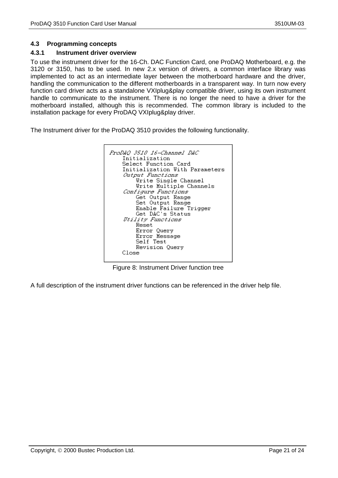#### <span id="page-20-0"></span>**4.3 Programming concepts**

#### <span id="page-20-1"></span>**4.3.1 Instrument driver overview**

To use the instrument driver for the 16-Ch. DAC Function Card, one ProDAQ Motherboard, e.g. the 3120 or 3150, has to be used. In new 2.x version of drivers, a common interface library was implemented to act as an intermediate layer between the motherboard hardware and the driver, handling the communication to the different motherboards in a transparent way. In turn now every function card driver acts as a standalone VXIplug&play compatible driver, using its own instrument handle to communicate to the instrument. There is no longer the need to have a driver for the motherboard installed, although this is recommended. The common library is included to the installation package for every ProDAQ VXIplug&play driver.

The Instrument driver for the ProDAQ 3510 provides the following functionality.



Figure 8: Instrument Driver function tree

A full description of the instrument driver functions can be referenced in the driver help file.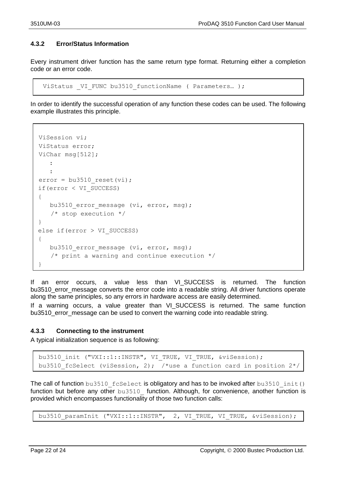### <span id="page-21-0"></span>**4.3.2 Error/Status Information**

Every instrument driver function has the same return type format. Returning either a completion code or an error code.

```
ViStatus VI FUNC bu3510 functionName ( Parameters... );
```
In order to identify the successful operation of any function these codes can be used. The following example illustrates this principle.

```
ViSession vi;
  ViStatus error;
  ViChar msg[512];
\vert \cdot \vert:
      :
  error = bu3510 reset(vi); if(error < VI_SUCCESS)
   {
     bu3510 error message (vi, error, msg);
     /* stop execution */
   }
  else if(error > VI_SUCCESS)
   {
     bu3510 error message (vi, error, msg);
      /* print a warning and continue execution */
\vert \cdot \rangle
```
If an error occurs, a value less than VI\_SUCCESS is returned. The function bu3510\_error\_message converts the error code into a readable string. All driver functions operate along the same principles, so any errors in hardware access are easily determined.

If a warning occurs, a value greater than VI SUCCESS is returned. The same function bu3510\_error\_message can be used to convert the warning code into readable string.

#### <span id="page-21-1"></span>**4.3.3 Connecting to the instrument**

A typical initialization sequence is as following:

```
bu3510 init ("VXI::1::INSTR", VI TRUE, VI TRUE, &viSession);
bu3510 fcSelect (viSession, 2); /*use a function card in position 2*/
```
The call of function  $b u 3510$  fcSelect is obligatory and has to be invoked after  $b u 3510$  init() function but before any other bu3510 function. Although, for convenience, another function is provided which encompasses functionality of those two function calls:

bu3510 paramInit ("VXI::1::INSTR", 2, VI TRUE, VI TRUE, &viSession);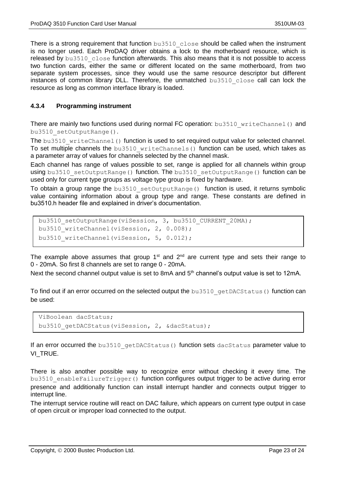There is a strong requirement that function bu3510 close should be called when the instrument is no longer used. Each ProDAQ driver obtains a lock to the motherboard resource, which is released by bu3510 close function afterwards. This also means that it is not possible to access two function cards, either the same or different located on the same motherboard, from two separate system processes, since they would use the same resource descriptor but different instances of common library DLL. Therefore, the unmatched bu3510 close call can lock the resource as long as common interface library is loaded.

#### <span id="page-22-0"></span>**4.3.4 Programming instrument**

There are mainly two functions used during normal FC operation: bu3510 writeChannel() and bu3510\_setOutputRange().

The bu3510 writeChannel() function is used to set required output value for selected channel. To set multiple channels the bu3510 writeChannels() function can be used, which takes as a parameter array of values for channels selected by the channel mask.

Each channel has range of values possible to set, range is applied for all channels within group using bu3510 setOutputRange() function. The bu3510 setOutputRange() function can be used only for current type groups as voltage type group is fixed by hardware.

To obtain a group range the  $bu3510$  setOutputRange() function is used, it returns symbolic value containing information about a group type and range. These constants are defined in bu3510.h header file and explained in driver's documentation.

```
bu3510_setOutputRange(viSession, 3, bu3510 CURRENT 20MA);
bu3510 writeChannel(viSession, 2, 0.008);
bu3510 writeChannel(viSession, 5, 0.012);
```
The example above assumes that group  $1<sup>st</sup>$  and  $2<sup>nd</sup>$  are current type and sets their range to 0 - 20mA. So first 8 channels are set to range 0 - 20mA.

Next the second channel output value is set to 8mA and 5<sup>th</sup> channel's output value is set to 12mA.

To find out if an error occurred on the selected output the bu3510 getDACStatus() function can be used:

```
ViBoolean dacStatus;
bu3510 qetDACStatus(viSession, 2, &dacStatus);
```
If an error occurred the bu3510 getDACStatus() function sets dacStatus parameter value to VI TRUE.

There is also another possible way to recognize error without checking it every time. The bu3510 enableFailureTrigger() function configures output trigger to be active during error presence and additionally function can install interrupt handler and connects output trigger to interrupt line.

The interrupt service routine will react on DAC failure, which appears on current type output in case of open circuit or improper load connected to the output.